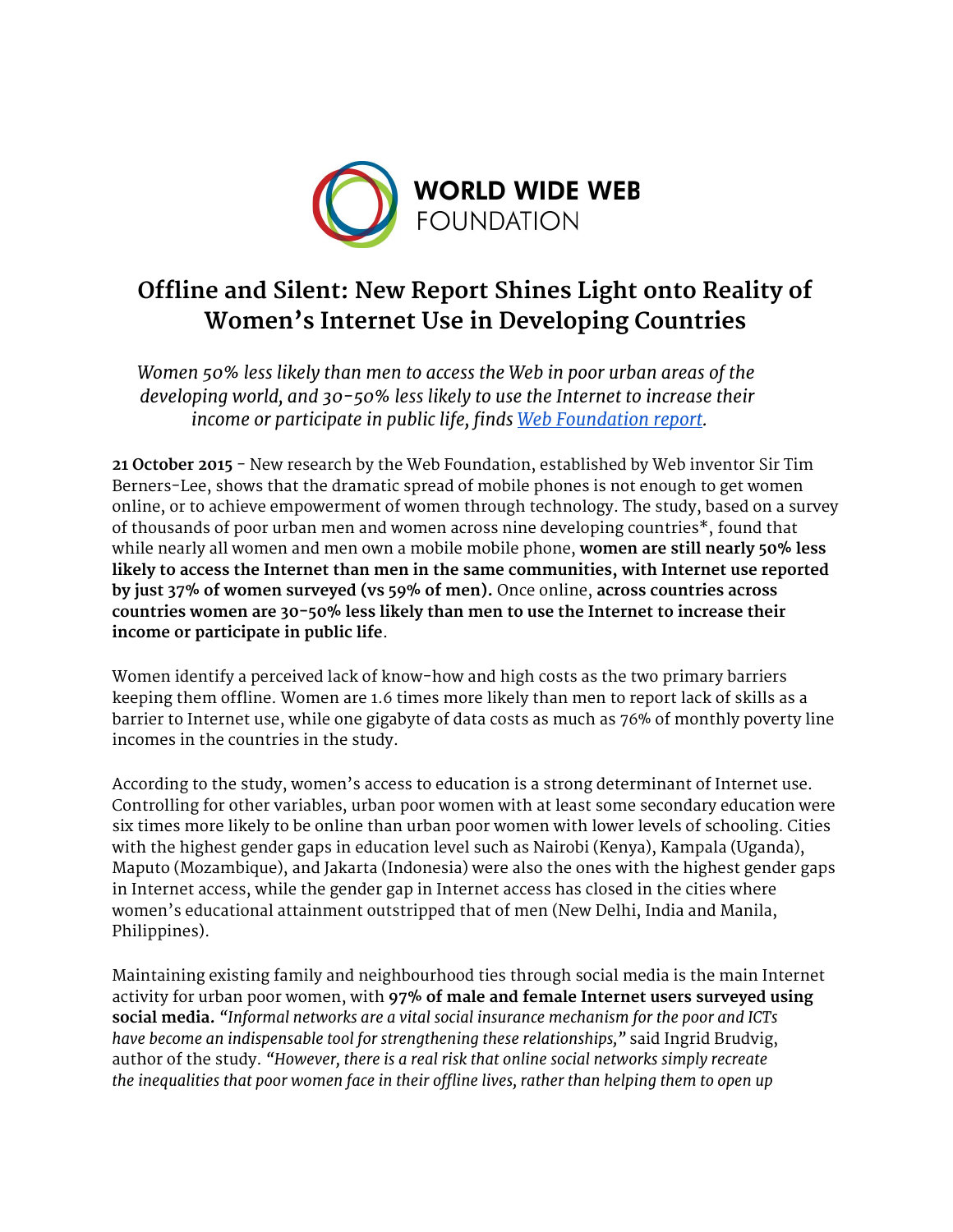

# **Offline and Silent: New Report Shines Light onto Reality of Women's Internet Use in Developing Countries**

*Women 50% less likely than men to access the Web in poor urban areas of the developing world, and 30-50% less likely to use the Internet to increase their income or participate in public life, finds Web [Foundation](http://webfoundation.org/about/research/womens-rights-online-2015/) report.*

**21 October 2015**- New research by the Web Foundation, established by Web inventor Sir Tim Berners-Lee, shows that the dramatic spread of mobile phones is not enough to get women online, or to achieve empowerment of women through technology. The study, based on a survey of thousands of poor urban men and women across nine developing countries\*, found that while nearly all women and men own a mobile mobile phone, **women are still nearly 50% less likely to access the Internet than men in the same communities, with Internet use reported by just 37% of women surveyed (vs 59% of men).** Once online, **across countries across countries women are 30-50% less likely than men to use the Internet to increase their income or participate in public life**.

Women identify a perceived lack of know-how and high costs as the two primary barriers keeping them offline. Women are 1.6 times more likely than men to report lack of skills as a barrier to Internet use, while one gigabyte of data costs as much as 76% of monthly poverty line incomes in the countries in the study.

According to the study, women's access to education is a strong determinant of Internet use. Controlling for other variables, urban poor women with at least some secondary education were six times more likely to be online than urban poor women with lower levels of schooling. Cities with the highest gender gaps in education level such as Nairobi (Kenya), Kampala (Uganda), Maputo (Mozambique), and Jakarta (Indonesia) were also the ones with the highest gender gaps in Internet access, while the gender gap in Internet access has closed in the cities where women's educational attainment outstripped that of men (New Delhi, India and Manila, Philippines).

Maintaining existing family and neighbourhood ties through social media is the main Internet activity for urban poor women, with **97% of male and female Internet users surveyed using social media.***"Informal networks are a vital social insurance mechanism for the poor and ICTs have become an indispensable tool for strengthening these relationships,"* said Ingrid Brudvig, author of the study. *"However, there is a real risk that online social networks simply recreate the inequalities that poor women face in their offline lives, rather than helping them to open up*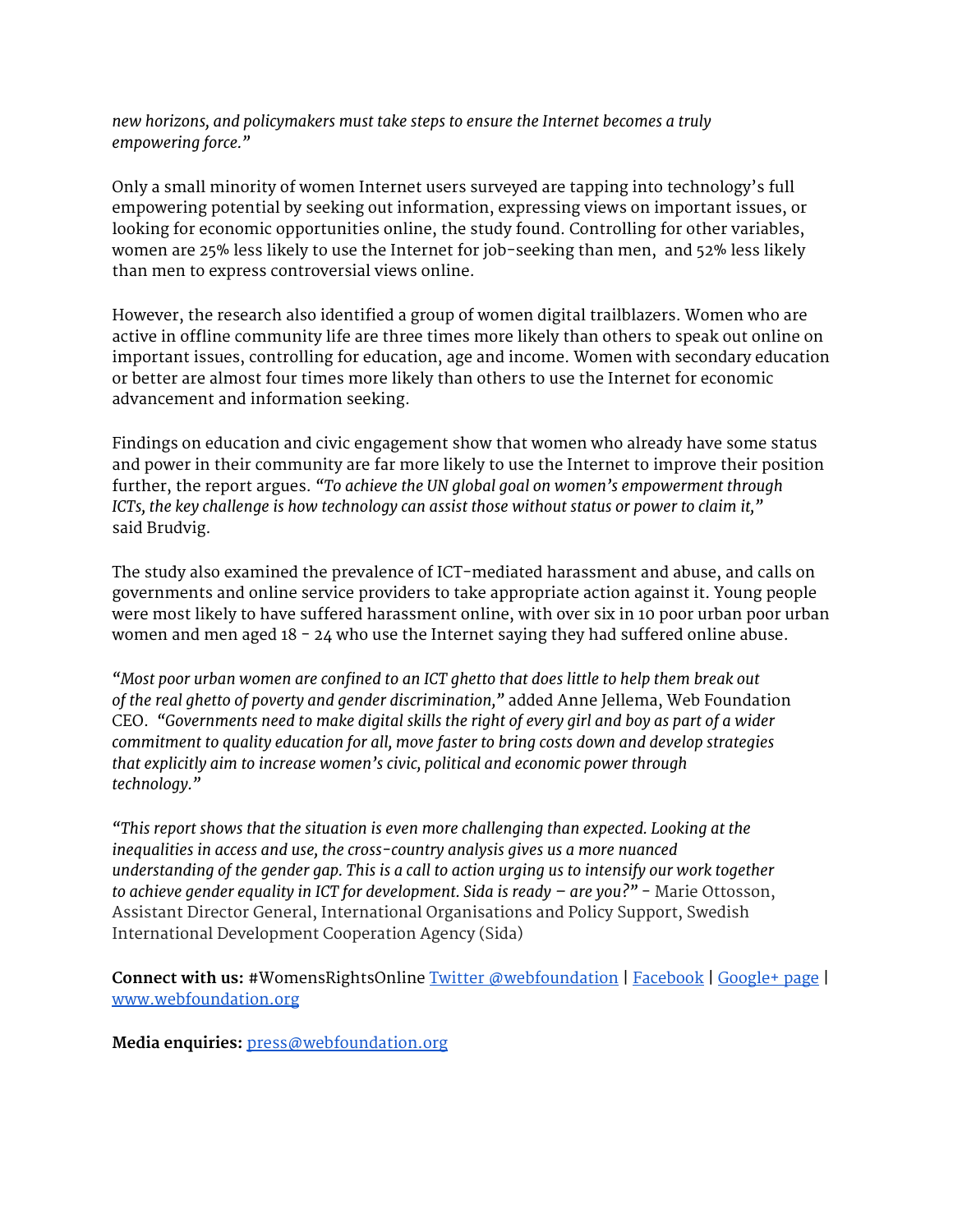*new horizons, and policymakers must take steps to ensure the Internet becomes a truly empowering force."*

Only a small minority of women Internet users surveyed are tapping into technology's full empowering potential by seeking out information, expressing views on important issues, or looking for economic opportunities online, the study found. Controlling for other variables, women are 25% less likely to use the Internet for job-seeking than men, and 52% less likely than men to express controversial views online.

However, the research also identified a group of women digital trailblazers. Women who are active in offline community life are three times more likely than others to speak out online on important issues, controlling for education, age and income. Women with secondary education or better are almost four times more likely than others to use the Internet for economic advancement and information seeking.

Findings on education and civic engagement show that women who already have some status and power in their community are far more likely to use the Internet to improve their position further, the report argues. *"To achieve the UN global goal on women's empowerment through ICTs, the key challenge is how technology can assist those without status or power to claim it,"* said Brudvig.

The study also examined the prevalence of ICT-mediated harassment and abuse, and calls on governments and online service providers to take appropriate action against it. Young people were most likely to have suffered harassment online, with over six in 10 poor urban poor urban women and men aged 18 - 24 who use the Internet saying they had suffered online abuse.

*"Most poor urban women are confined to an ICT ghetto that does little to help them break out of the real ghetto of poverty and gender discrimination,"* added Anne Jellema, Web Foundation CEO. *"Governments need to make digital skills the right of every girl and boy as part of a wider commitment to quality education for all, move faster to bring costs down and develop strategies that explicitly aim to increase women's civic, political and economic power through technology."*

*"This report shows that the situation is even more challenging than expected. Looking at the inequalities in access and use, the cross-country analysis gives us a more nuanced understanding of the gender gap. This is a call to action urging us to intensify our work together to achieve gender equality in ICT for development. Sida is ready – are you?"* - Marie Ottosson, Assistant Director General, International Organisations and Policy Support, Swedish International Development Cooperation Agency (Sida)

**Connect with us:** #WomensRightsOnline Twitter [@webfoundation](https://twitter.com/webfoundation) | [Facebook](https://www.facebook.com/webfoundation) | [Google+](https://plus.google.com/u/0/b/109721726248351169597/109721726248351169597/posts) page | [www.webfoundation.org](http://www.webfoundation.org/)

**Media enquiries:**[press@webfoundation.org](mailto:press@webfoundation.org)